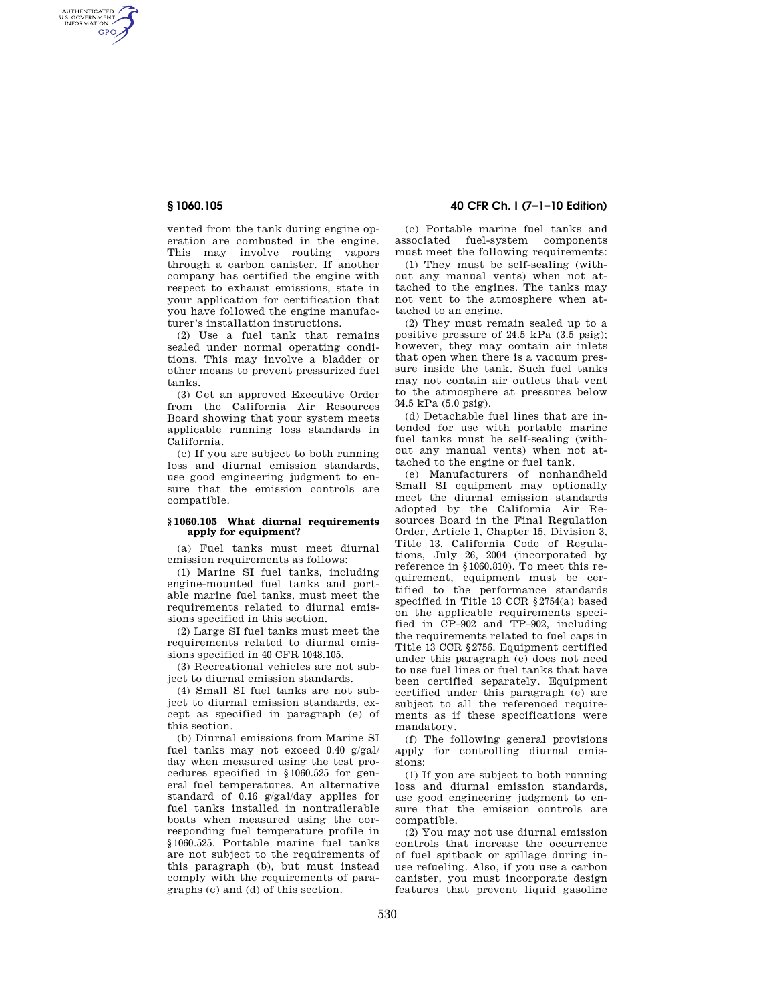AUTHENTICATED<br>U.S. GOVERNMENT<br>INFORMATION GPO

> vented from the tank during engine operation are combusted in the engine. This may involve routing vapors through a carbon canister. If another company has certified the engine with respect to exhaust emissions, state in your application for certification that you have followed the engine manufacturer's installation instructions.

> (2) Use a fuel tank that remains sealed under normal operating conditions. This may involve a bladder or other means to prevent pressurized fuel tanks.

> (3) Get an approved Executive Order from the California Air Resources Board showing that your system meets applicable running loss standards in California.

> (c) If you are subject to both running loss and diurnal emission standards, use good engineering judgment to ensure that the emission controls are compatible.

## **§ 1060.105 What diurnal requirements apply for equipment?**

(a) Fuel tanks must meet diurnal emission requirements as follows:

(1) Marine SI fuel tanks, including engine-mounted fuel tanks and portable marine fuel tanks, must meet the requirements related to diurnal emissions specified in this section.

(2) Large SI fuel tanks must meet the requirements related to diurnal emissions specified in 40 CFR 1048.105.

(3) Recreational vehicles are not subject to diurnal emission standards.

(4) Small SI fuel tanks are not subject to diurnal emission standards, except as specified in paragraph (e) of this section.

(b) Diurnal emissions from Marine SI fuel tanks may not exceed 0.40 g/gal/ day when measured using the test procedures specified in §1060.525 for general fuel temperatures. An alternative standard of 0.16 g/gal/day applies for fuel tanks installed in nontrailerable boats when measured using the corresponding fuel temperature profile in §1060.525. Portable marine fuel tanks are not subject to the requirements of this paragraph (b), but must instead comply with the requirements of paragraphs (c) and (d) of this section.

# **§ 1060.105 40 CFR Ch. I (7–1–10 Edition)**

(c) Portable marine fuel tanks and associated fuel-system components must meet the following requirements:

(1) They must be self-sealing (without any manual vents) when not attached to the engines. The tanks may not vent to the atmosphere when attached to an engine.

(2) They must remain sealed up to a positive pressure of 24.5 kPa (3.5 psig); however, they may contain air inlets that open when there is a vacuum pressure inside the tank. Such fuel tanks may not contain air outlets that vent to the atmosphere at pressures below 34.5 kPa (5.0 psig).

(d) Detachable fuel lines that are intended for use with portable marine fuel tanks must be self-sealing (without any manual vents) when not attached to the engine or fuel tank.

(e) Manufacturers of nonhandheld Small SI equipment may optionally meet the diurnal emission standards adopted by the California Air Resources Board in the Final Regulation Order, Article 1, Chapter 15, Division 3, Title 13, California Code of Regulations, July 26, 2004 (incorporated by reference in §1060.810). To meet this requirement, equipment must be certified to the performance standards specified in Title 13 CCR §2754(a) based on the applicable requirements specified in CP–902 and TP–902, including the requirements related to fuel caps in Title 13 CCR §2756. Equipment certified under this paragraph (e) does not need to use fuel lines or fuel tanks that have been certified separately. Equipment certified under this paragraph (e) are subject to all the referenced requirements as if these specifications were mandatory.

(f) The following general provisions apply for controlling diurnal emissions:

(1) If you are subject to both running loss and diurnal emission standards, use good engineering judgment to ensure that the emission controls are compatible.

(2) You may not use diurnal emission controls that increase the occurrence of fuel spitback or spillage during inuse refueling. Also, if you use a carbon canister, you must incorporate design features that prevent liquid gasoline